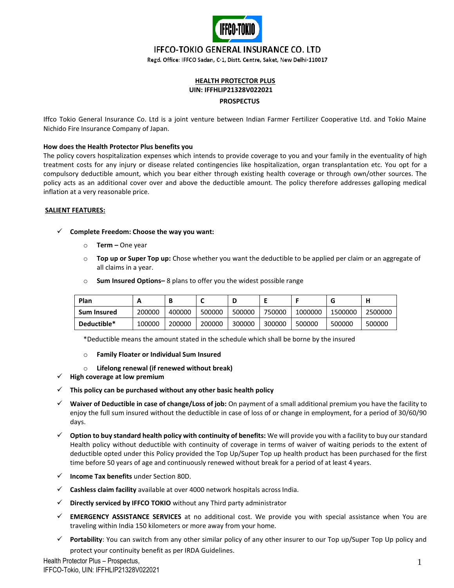

# **IFFCO-TOKIO GENERAL INSURANCE CO. LTD**

Regd. Office: IFFCO Sadan, C-1, Distt. Centre, Saket, New Delhi-110017

# **HEALTH PROTECTOR PLUS UIN: IFFHLIP21328V022021 PROSPECTUS**

Iffco Tokio General Insurance Co. Ltd is a joint venture between Indian Farmer Fertilizer Cooperative Ltd. and Tokio Maine Nichido Fire Insurance Company of Japan.

#### **How does the Health Protector Plus benefits you**

The policy covers hospitalization expenses which intends to provide coverage to you and your family in the eventuality of high treatment costs for any injury or disease related contingencies like hospitalization, organ transplantation etc. You opt for a compulsory deductible amount, which you bear either through existing health coverage or through own/other sources. The policy acts as an additional cover over and above the deductible amount. The policy therefore addresses galloping medical inflation at a very reasonable price.

#### **SALIENT FEATURES:**

#### ✓ **Complete Freedom: Choose the way you want:**

- o **Term –** One year
- o **Top up or Super Top up:** Chose whether you want the deductible to be applied per claim or an aggregate of all claims in a year.

| <b>Plan</b>        | n      | В      |        |        |        |         | u       | п       |
|--------------------|--------|--------|--------|--------|--------|---------|---------|---------|
| <b>Sum Insured</b> | 200000 | 400000 | 500000 | 500000 | 750000 | 1000000 | 1500000 | 2500000 |
| Deductible*        | 100000 | 200000 | 200000 | 300000 | 300000 | 500000  | 500000  | 500000  |

o **Sum Insured Options–** 8 plans to offer you the widest possible range

\*Deductible means the amount stated in the schedule which shall be borne by the insured

- o **Family Floater or Individual Sum Insured**
- o **Lifelong renewal (if renewed without break)**
- ✓ **High coverage at low premium**
- ✓ **This policy can be purchased without any other basic health policy**
- ✓ **Waiver of Deductible in case of change/Loss of job:** On payment of a small additional premium you have the facility to enjoy the full sum insured without the deductible in case of loss of or change in employment, for a period of 30/60/90 days.
- ✓ **Option to buy standard health policy with continuity of benefits:** We will provide you with a facility to buy our standard Health policy without deductible with continuity of coverage in terms of waiver of waiting periods to the extent of deductible opted under this Policy provided the Top Up/Super Top up health product has been purchased for the first time before 50 years of age and continuously renewed without break for a period of at least 4 years.
- ✓ **Income Tax benefits** under Section 80D.
- ✓ **Cashless claim facility** available at over 4000 network hospitals acrossIndia.
- ✓ **Directly serviced by IFFCO TOKIO** without any Third party administrator
- ✓ **EMERGENCY ASSISTANCE SERVICES** at no additional cost. We provide you with special assistance when You are traveling within India 150 kilometers or more away from your home.
- Portability: You can switch from any other similar policy of any other insurer to our Top up/Super Top Up policy and protect your continuity benefit as per IRDA Guidelines.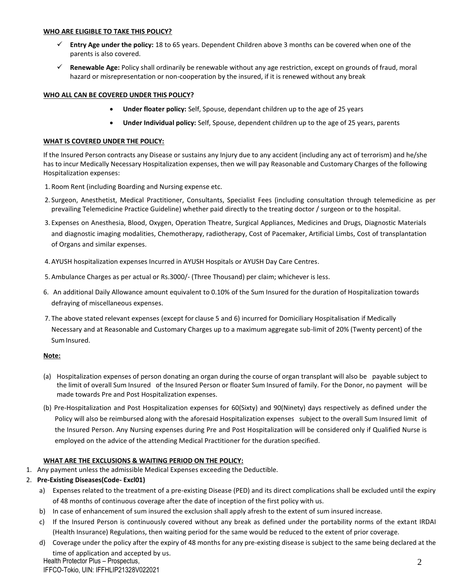#### **WHO ARE ELIGIBLE TO TAKE THIS POLICY?**

- ✓ **Entry Age under the policy:** 18 to 65 years. Dependent Children above 3 months can be covered when one of the parents is also covered.
- ✓ **Renewable Age:** Policy shall ordinarily be renewable without any age restriction, except on grounds of fraud, moral hazard or misrepresentation or non-cooperation by the insured, if it is renewed without any break

## **WHO ALL CAN BE COVERED UNDER THIS POLICY?**

- **Under floater policy:** Self, Spouse, dependant children up to the age of 25 years
- **Under Individual policy:** Self, Spouse, dependent children up to the age of 25 years, parents

#### **WHAT IS COVERED UNDER THE POLICY:**

If the Insured Person contracts any Disease or sustains any Injury due to any accident (including any act of terrorism) and he/she has to incur Medically Necessary Hospitalization expenses, then we will pay Reasonable and Customary Charges of the following Hospitalization expenses:

- 1. Room Rent (including Boarding and Nursing expense etc.
- 2. Surgeon, Anesthetist, Medical Practitioner, Consultants, Specialist Fees (including consultation through telemedicine as per prevailing Telemedicine Practice Guideline) whether paid directly to the treating doctor / surgeon or to the hospital.
- 3. Expenses on Anesthesia, Blood, Oxygen, Operation Theatre, Surgical Appliances, Medicines and Drugs, Diagnostic Materials and diagnostic imaging modalities, Chemotherapy, radiotherapy, Cost of Pacemaker, Artificial Limbs, Cost of transplantation of Organs and similar expenses.
- 4. AYUSH hospitalization expenses Incurred in AYUSH Hospitals or AYUSH Day Care Centres.
- 5. Ambulance Charges as per actual or Rs.3000/- (Three Thousand) per claim; whichever is less.
- 6. An additional Daily Allowance amount equivalent to 0.10% of the Sum Insured for the duration of Hospitalization towards defraying of miscellaneous expenses.
- 7. The above stated relevant expenses (except for clause 5 and 6) incurred for Domiciliary Hospitalisation if Medically Necessary and at Reasonable and Customary Charges up to a maximum aggregate sub-limit of 20% (Twenty percent) of the Sum Insured.

### **Note:**

- (a) Hospitalization expenses of person donating an organ during the course of organ transplant will also be payable subject to the limit of overall Sum Insured of the Insured Person or floater Sum Insured of family. For the Donor, no payment will be made towards Pre and Post Hospitalization expenses.
- (b) Pre-Hospitalization and Post Hospitalization expenses for 60(Sixty) and 90(Ninety) days respectively as defined under the Policy will also be reimbursed along with the aforesaid Hospitalization expenses subject to the overall Sum Insured limit of the Insured Person. Any Nursing expenses during Pre and Post Hospitalization will be considered only if Qualified Nurse is employed on the advice of the attending Medical Practitioner for the duration specified.

### **WHAT ARE THE EXCLUSIONS & WAITING PERIOD ON THE POLICY:**

1. Any payment unless the admissible Medical Expenses exceeding the Deductible.

### 2. **Pre-Existing Diseases(Code- Excl01)**

- a) Expenses related to the treatment of a pre-existing Disease (PED) and its direct complications shall be excluded until the expiry of 48 months of continuous coverage after the date of inception of the first policy with us.
- b) In case of enhancement of sum insured the exclusion shall apply afresh to the extent of sum insured increase.
- c) If the Insured Person is continuously covered without any break as defined under the portability norms of the extant IRDAI (Health Insurance) Regulations, then waiting period for the same would be reduced to the extent of prior coverage.
- d) Coverage under the policy after the expiry of 48 months for any pre-existing disease is subject to the same being declared at the time of application and accepted by us.

Health Protector Plus – Prospectus, IFFCO-Tokio, UIN: IFFHLIP21328V022021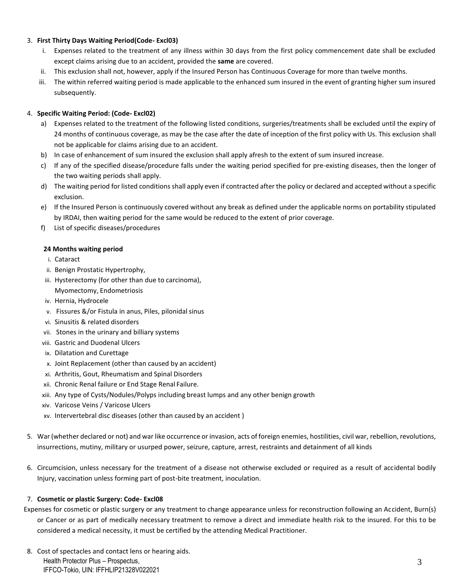## 3. **First Thirty Days Waiting Period(Code- Excl03)**

- i. Expenses related to the treatment of any illness within 30 days from the first policy commencement date shall be excluded except claims arising due to an accident, provided the **same** are covered.
- ii. This exclusion shall not, however, apply if the Insured Person has Continuous Coverage for more than twelve months.
- iii. The within referred waiting period is made applicable to the enhanced sum insured in the event of granting higher sum insured subsequently.

## 4. **Specific Waiting Period: (Code- Excl02)**

- a) Expenses related to the treatment of the following listed conditions, surgeries/treatments shall be excluded until the expiry of 24 months of continuous coverage, as may be the case after the date of inception of the first policy with Us. This exclusion shall not be applicable for claims arising due to an accident.
- b) In case of enhancement of sum insured the exclusion shall apply afresh to the extent of sum insured increase.
- c) If any of the specified disease/procedure falls under the waiting period specified for pre-existing diseases, then the longer of the two waiting periods shall apply.
- d) The waiting period for listed conditions shall apply even if contracted after the policy or declared and accepted without a specific exclusion.
- e) If the Insured Person is continuously covered without any break as defined under the applicable norms on portability stipulated by IRDAI, then waiting period for the same would be reduced to the extent of prior coverage.
- f) List of specific diseases/procedures

## **24 Months waiting period**

- i. Cataract
- ii. Benign Prostatic Hypertrophy,
- iii. Hysterectomy (for other than due to carcinoma), Myomectomy, Endometriosis
- iv. Hernia, Hydrocele
- v. Fissures &/or Fistula in anus, Piles, pilonidal sinus
- vi. Sinusitis & related disorders
- vii. Stones in the urinary and billiary systems
- viii. Gastric and Duodenal Ulcers
- ix. Dilatation and Curettage
- x. Joint Replacement (other than caused by an accident)
- xi. Arthritis, Gout, Rheumatism and Spinal Disorders
- xii. Chronic Renal failure or End Stage Renal Failure.
- xiii. Any type of Cysts/Nodules/Polyps including breast lumps and any other benign growth
- xiv. Varicose Veins / Varicose Ulcers
- xv. Intervertebral disc diseases (other than caused by an accident )
- 5. War (whether declared or not) and war like occurrence or invasion, acts of foreign enemies, hostilities, civil war, rebellion, revolutions, insurrections, mutiny, military or usurped power, seizure, capture, arrest, restraints and detainment of all kinds
- 6. Circumcision, unless necessary for the treatment of a disease not otherwise excluded or required as a result of accidental bodily Injury, vaccination unless forming part of post-bite treatment, inoculation.

### 7. **Cosmetic or plastic Surgery: Code- Excl08**

- Expenses for cosmetic or plastic surgery or any treatment to change appearance unless for reconstruction following an Accident, Burn(s) or Cancer or as part of medically necessary treatment to remove a direct and immediate health risk to the insured. For this to be considered a medical necessity, it must be certified by the attending Medical Practitioner.
- Health Protector Plus Prospectus, IFFCO-Tokio, UIN: IFFHLIP21328V022021 8. Cost of spectacles and contact lens or hearing aids.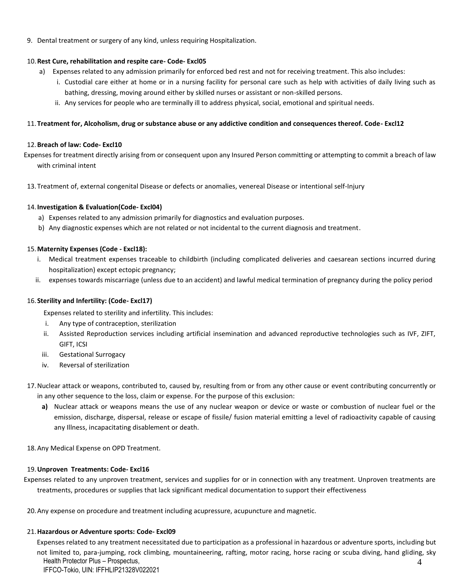9. Dental treatment or surgery of any kind, unless requiring Hospitalization.

## 10.**Rest Cure, rehabilitation and respite care- Code- Excl05**

- a) Expenses related to any admission primarily for enforced bed rest and not for receiving treatment. This also includes:
	- i. Custodial care either at home or in a nursing facility for personal care such as help with activities of daily living such as bathing, dressing, moving around either by skilled nurses or assistant or non-skilled persons.
	- ii. Any services for people who are terminally ill to address physical, social, emotional and spiritual needs.

## 11.**Treatment for, Alcoholism, drug or substance abuse or any addictive condition and consequences thereof. Code- Excl12**

## 12.**Breach of law: Code- Excl10**

Expenses for treatment directly arising from or consequent upon any Insured Person committing or attempting to commit a breach of law with criminal intent

13.Treatment of, external congenital Disease or defects or anomalies, venereal Disease or intentional self-Injury

## 14.**Investigation & Evaluation(Code- Excl04)**

- a) Expenses related to any admission primarily for diagnostics and evaluation purposes.
- b) Any diagnostic expenses which are not related or not incidental to the current diagnosis and treatment.

## 15.**Maternity Expenses (Code - Excl18):**

- i. Medical treatment expenses traceable to childbirth (including complicated deliveries and caesarean sections incurred during hospitalization) except ectopic pregnancy;
- ii. expenses towards miscarriage (unless due to an accident) and lawful medical termination of pregnancy during the policy period

## 16.**Sterility and Infertility: (Code- Excl17)**

Expenses related to sterility and infertility. This includes:

- i. Any type of contraception, sterilization
- ii. Assisted Reproduction services including artificial insemination and advanced reproductive technologies such as IVF, ZIFT, GIFT, ICSI
- iii. Gestational Surrogacy
- iv. Reversal of sterilization
- 17.Nuclear attack or weapons, contributed to, caused by, resulting from or from any other cause or event contributing concurrently or in any other sequence to the loss, claim or expense. For the purpose of this exclusion:
	- **a)** Nuclear attack or weapons means the use of any nuclear weapon or device or waste or combustion of nuclear fuel or the emission, discharge, dispersal, release or escape of fissile/ fusion material emitting a level of radioactivity capable of causing any Illness, incapacitating disablement or death.

18.Any Medical Expense on OPD Treatment.

### 19.**Unproven Treatments: Code- Excl16**

Expenses related to any unproven treatment, services and supplies for or in connection with any treatment. Unproven treatments are treatments, procedures or supplies that lack significant medical documentation to support their effectiveness

20.Any expense on procedure and treatment including acupressure, acupuncture and magnetic.

### 21.**Hazardous or Adventure sports: Code- Excl09**

Health Protector Plus – Prospectus, IFFCO-Tokio, UIN: IFFHLIP21328V022021 4 Expenses related to any treatment necessitated due to participation as a professional in hazardous or adventure sports, including but not limited to, para-jumping, rock climbing, mountaineering, rafting, motor racing, horse racing or scuba diving, hand gliding, sky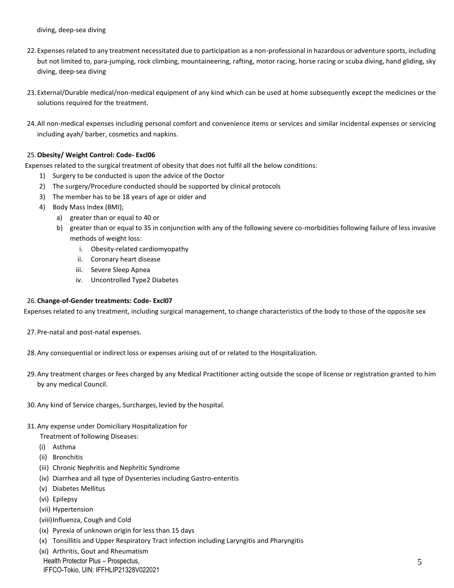diving, deep-sea diving

- 22.Expenses related to any treatment necessitated due to participation as a non-professional in hazardous or adventure sports, including but not limited to, para-jumping, rock climbing, mountaineering, rafting, motor racing, horse racing or scuba diving, hand gliding, sky diving, deep-sea diving
- 23.External/Durable medical/non-medical equipment of any kind which can be used at home subsequently except the medicines or the solutions required for the treatment.
- 24.All non-medical expenses including personal comfort and convenience items or services and similar incidental expenses or servicing including ayah/ barber, cosmetics and napkins.

## 25.**Obesity/ Weight Control: Code- Excl06**

Expenses related to the surgical treatment of obesity that does not fulfil all the below conditions:

- 1) Surgery to be conducted is upon the advice of the Doctor
- 2) The surgery/Procedure conducted should be supported by clinical protocols
- 3) The member has to be 18 years of age or older and
- 4) Body Mass Index (BMI);
	- a) greater than or equal to 40 or
	- b) greater than or equal to 35 in conjunction with any of the following severe co-morbidities following failure of less invasive methods of weight loss:
		- i. Obesity-related cardiomyopathy
		- ii. Coronary heart disease
		- iii. Severe Sleep Apnea
		- iv. Uncontrolled Type2 Diabetes

### 26.**Change-of-Gender treatments: Code- Excl07**

Expenses related to any treatment, including surgical management, to change characteristics of the body to those of the opposite sex

- 27.Pre-natal and post-natal expenses.
- 28.Any consequential or indirect loss or expenses arising out of or related to the Hospitalization.
- 29.Any treatment charges or fees charged by any Medical Practitioner acting outside the scope of license or registration granted to him by any medical Council.
- 30.Any kind of Service charges, Surcharges, levied by the hospital.
- 31.Any expense under Domiciliary Hospitalization for
	- Treatment of following Diseases:
	- (i) Asthma
	- (ii) Bronchitis
	- (iii) Chronic Nephritis and Nephritic Syndrome
	- (iv) Diarrhea and all type of Dysenteries including Gastro-enteritis
	- (v) Diabetes Mellitus
	- (vi) Epilepsy
	- (vii) Hypertension
	- (viii)Influenza, Cough and Cold
	- (ix) Pyrexia of unknown origin for less than 15 days
	- (x) Tonsillitis and Upper Respiratory Tract infection including Laryngitis and Pharyngitis

(xi) Arthritis, Gout and Rheumatism

Health Protector Plus – Prospectus,

IFFCO-Tokio, UIN: IFFHLIP21328V022021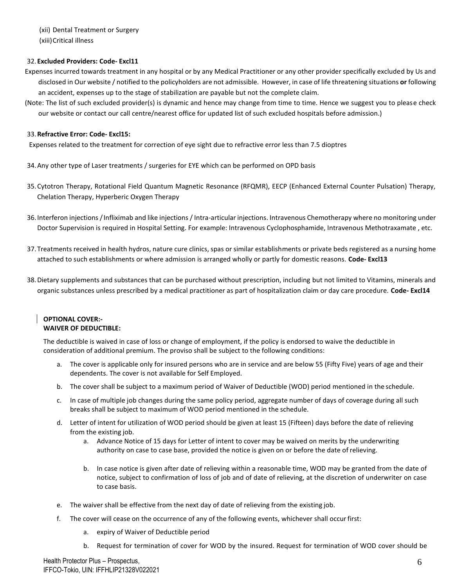(xii) Dental Treatment or Surgery (xiii)Critical illness

## 32.**Excluded Providers: Code- Excl11**

- Expenses incurred towards treatment in any hospital or by any Medical Practitioner or any other provider specifically excluded by Us and disclosed in Our website / notified to the policyholders are not admissible. However, in case of life threatening situations **or** following an accident, expenses up to the stage of stabilization are payable but not the complete claim.
- (Note: The list of such excluded provider(s) is dynamic and hence may change from time to time. Hence we suggest you to please check our website or contact our call centre/nearest office for updated list of such excluded hospitals before admission.)

### 33.**Refractive Error: Code- Excl15:**

Expenses related to the treatment for correction of eye sight due to refractive error less than 7.5 dioptres

34.Any other type of Laser treatments / surgeries for EYE which can be performed on OPD basis

- 35.Cytotron Therapy, Rotational Field Quantum Magnetic Resonance (RFQMR), EECP (Enhanced External Counter Pulsation) Therapy, Chelation Therapy, Hyperberic Oxygen Therapy
- 36.Interferon injections /Infliximab and like injections / Intra-articular injections. Intravenous Chemotherapy where no monitoring under Doctor Supervision is required in Hospital Setting. For example: Intravenous Cyclophosphamide, Intravenous Methotraxamate , etc.
- 37.Treatments received in health hydros, nature cure clinics, spas or similar establishments or private beds registered as a nursing home attached to such establishments or where admission is arranged wholly or partly for domestic reasons. **Code- Excl13**
- 38.Dietary supplements and substances that can be purchased without prescription, including but not limited to Vitamins, minerals and organic substances unless prescribed by a medical practitioner as part of hospitalization claim or day care procedure. **Code- Excl14**

## **OPTIONAL COVER:- WAIVER OF DEDUCTIBLE:**

The deductible is waived in case of loss or change of employment, if the policy is endorsed to waive the deductible in consideration of additional premium. The proviso shall be subject to the following conditions:

- a. The cover is applicable only for insured persons who are in service and are below 55 (Fifty Five) years of age and their dependents. The cover is not available for Self Employed.
- b. The cover shall be subject to a maximum period of Waiver of Deductible (WOD) period mentioned in the schedule.
- c. In case of multiple job changes during the same policy period, aggregate number of days of coverage during all such breaks shall be subject to maximum of WOD period mentioned in the schedule.
- d. Letter of intent for utilization of WOD period should be given at least 15 (Fifteen) days before the date of relieving from the existing job.
	- a. Advance Notice of 15 days for Letter of intent to cover may be waived on merits by the underwriting authority on case to case base, provided the notice is given on or before the date of relieving.
	- b. In case notice is given after date of relieving within a reasonable time, WOD may be granted from the date of notice, subject to confirmation of loss of job and of date of relieving, at the discretion of underwriter on case to case basis.
- e. The waiver shall be effective from the next day of date of relieving from the existing job.
- f. The cover will cease on the occurrence of any of the following events, whichever shall occurfirst:
	- a. expiry of Waiver of Deductible period
	- b. Request for termination of cover for WOD by the insured. Request for termination of WOD cover should be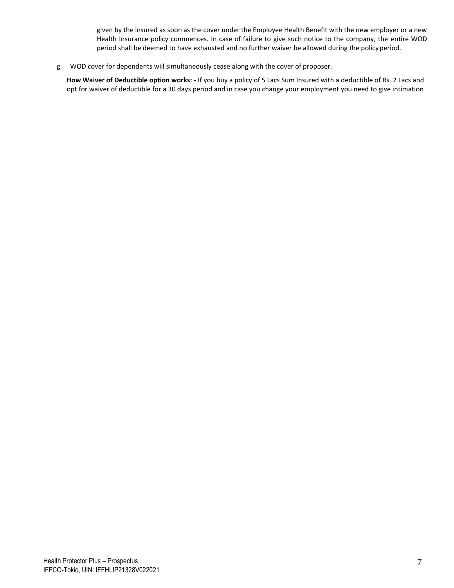given by the insured as soon as the cover under the Employee Health Benefit with the new employer or a new Health Insurance policy commences. In case of failure to give such notice to the company, the entire WOD period shall be deemed to have exhausted and no further waiver be allowed during the policy period.

g. WOD cover for dependents will simultaneously cease along with the cover of proposer.

**How Waiver of Deductible option works: -** If you buy a policy of 5 Lacs Sum Insured with a deductible of Rs. 2 Lacs and opt for waiver of deductible for a 30 days period and in case you change your employment you need to give intimation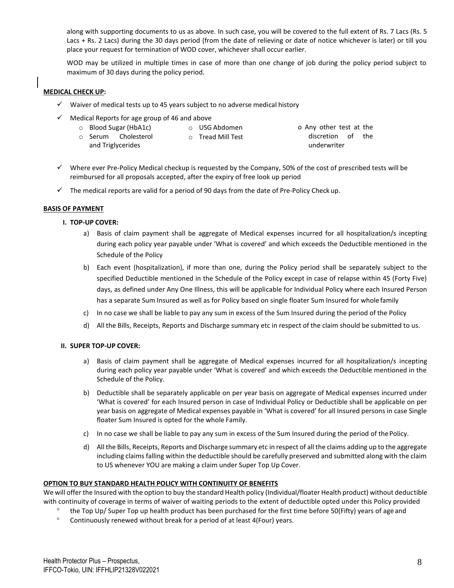along with supporting documents to us as above. In such case, you will be covered to the full extent of Rs. 7 Lacs (Rs. 5 Lacs + Rs. 2 Lacs) during the 30 days period (from the date of relieving or date of notice whichever is later) or till you place your request for termination of WOD cover, whichever shall occur earlier.

WOD may be utilized in multiple times in case of more than one change of job during the policy period subject to maximum of 30 days during the policy period.

#### **MEDICAL CHECK UP:**

- $\checkmark$  Waiver of medical tests up to 45 years subject to no adverse medical history
- $\checkmark$  Medical Reports for age group of 46 and above
	- o Blood Sugar (HbA1c)
- o USG Abdomen o Tread Mill Test
	- o Serum Cholesterol and Triglycerides

o Any other test at the discretion of the underwriter

- ✓ Where ever Pre-Policy Medical checkup is requested by the Company, 50% of the cost of prescribed tests will be reimbursed for all proposals accepted, after the expiry of free look up period
- $\checkmark$  The medical reports are valid for a period of 90 days from the date of Pre-Policy Check up.

#### **BASIS OF PAYMENT**

### **I. TOP-UP COVER:**

- a) Basis of claim payment shall be aggregate of Medical expenses incurred for all hospitalization/s incepting during each policy year payable under 'What is covered' and which exceeds the Deductible mentioned in the Schedule of the Policy
- b) Each event (hospitalization), if more than one, during the Policy period shall be separately subject to the specified Deductible mentioned in the Schedule of the Policy except in case of relapse within 45 (Forty Five) days, as defined under Any One Illness, this will be applicable for Individual Policy where each Insured Person has a separate Sum Insured as well as for Policy based on single floater Sum Insured for whole family
- c) In no case we shall be liable to pay any sum in excess of the Sum Insured during the period of the Policy
- d) All the Bills, Receipts, Reports and Discharge summary etc in respect of the claim should be submitted to us.

### **II. SUPER TOP-UP COVER:**

- a) Basis of claim payment shall be aggregate of Medical expenses incurred for all hospitalization/s incepting during each policy year payable under 'What is covered' and which exceeds the Deductible mentioned in the Schedule of the Policy.
- b) Deductible shall be separately applicable on per year basis on aggregate of Medical expenses incurred under 'What is covered' for each Insured person in case of Individual Policy or Deductible shall be applicable on per year basis on aggregate of Medical expenses payable in 'What is covered' for all Insured persons in case Single floater Sum Insured is opted for the whole Family.
- c) In no case we shall be liable to pay any sum in excess of the Sum Insured during the period of the Policy.
- d) All the Bills, Receipts, Reports and Discharge summary etc in respect of all the claims adding up to the aggregate including claims falling within the deductible should be carefully preserved and submitted along with the claim to US whenever YOU are making a claim under Super Top Up Cover.

### **OPTION TO BUY STANDARD HEALTH POLICY WITH CONTINUITY OF BENEFITS**

We will offer the Insured with the option to buy the standard Health policy (Individual/floater Health product) without deductible with continuity of coverage in terms of waiver of waiting periods to the extent of deductible opted under this Policy provided

- the Top Up/ Super Top up health product has been purchased for the first time before 50(Fifty) years of age and
- Continuously renewed without break for a period of at least 4(Four) years.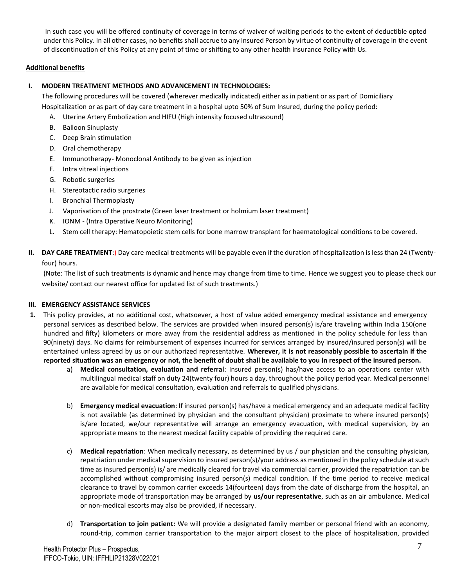In such case you will be offered continuity of coverage in terms of waiver of waiting periods to the extent of deductible opted under this Policy. In all other cases, no benefits shall accrue to any Insured Person by virtue of continuity of coverage in the event of discontinuation of this Policy at any point of time or shifting to any other health insurance Policy with Us.

## **Additional benefits**

## **I. MODERN TREATMENT METHODS AND ADVANCEMENT IN TECHNOLOGIES:**

The following procedures will be covered (wherever medically indicated) either as in patient or as part of Domiciliary Hospitalization or as part of day care treatment in a hospital upto 50% of Sum Insured, during the policy period:

- A. Uterine Artery Embolization and HIFU (High intensity focused ultrasound)
- B. Balloon Sinuplasty
- C. Deep Brain stimulation
- D. Oral chemotherapy
- E. Immunotherapy- Monoclonal Antibody to be given as injection
- F. Intra vitreal injections
- G. Robotic surgeries
- H. Stereotactic radio surgeries
- I. Bronchial Thermoplasty
- J. Vaporisation of the prostrate (Green laser treatment or holmium laser treatment)
- K. IONM (Intra Operative Neuro Monitoring)
- L. Stem cell therapy: Hematopoietic stem cells for bone marrow transplant for haematological conditions to be covered.
- **II. DAY CARE TREATMENT**:) Day care medical treatments will be payable even if the duration of hospitalization is less than 24 (Twentyfour) hours.

(Note: The list of such treatments is dynamic and hence may change from time to time. Hence we suggest you to please check our website/ contact our nearest office for updated list of such treatments.)

## **III. EMERGENCY ASSISTANCE SERVICES**

- **1.** This policy provides, at no additional cost, whatsoever, a host of value added emergency medical assistance and emergency personal services as described below. The services are provided when insured person(s) is/are traveling within India 150(one hundred and fifty) kilometers or more away from the residential address as mentioned in the policy schedule for less than 90(ninety) days. No claims for reimbursement of expenses incurred for services arranged by insured/insured person(s) will be entertained unless agreed by us or our authorized representative. **Wherever, it is not reasonably possible to ascertain if the**  reported situation was an emergency or not, the benefit of doubt shall be available to you in respect of the insured person.
	- a) **Medical consultation, evaluation and referral**: Insured person(s) has/have access to an operations center with multilingual medical staff on duty 24(twenty four) hours a day, throughout the policy period year. Medical personnel are available for medical consultation, evaluation and referrals to qualified physicians.
	- b) **Emergency medical evacuation**: If insured person(s) has/have a medical emergency and an adequate medical facility is not available (as determined by physician and the consultant physician) proximate to where insured person(s) is/are located, we/our representative will arrange an emergency evacuation, with medical supervision, by an appropriate means to the nearest medical facility capable of providing the required care.
	- c) **Medical repatriation**: When medically necessary, as determined by us / our physician and the consulting physician, repatriation under medical supervision to insured person(s)/your address as mentioned in the policy schedule at such time as insured person(s) is/ are medically cleared for travel via commercial carrier, provided the repatriation can be accomplished without compromising insured person(s) medical condition. If the time period to receive medical clearance to travel by common carrier exceeds 14(fourteen) days from the date of discharge from the hospital, an appropriate mode of transportation may be arranged by **us/our representative**, such as an air ambulance. Medical or non-medical escorts may also be provided, if necessary.
	- d) **Transportation to join patient:** We will provide a designated family member or personal friend with an economy, round-trip, common carrier transportation to the major airport closest to the place of hospitalisation, provided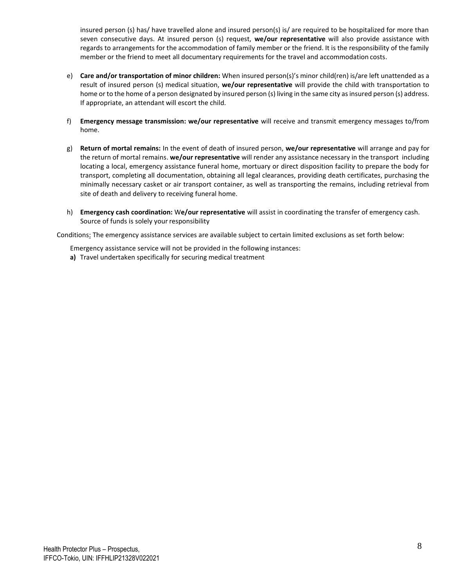insured person (s) has/ have travelled alone and insured person(s) is/ are required to be hospitalized for more than seven consecutive days. At insured person (s) request, **we/our representative** will also provide assistance with regards to arrangements for the accommodation of family member or the friend. It is the responsibility of the family member or the friend to meet all documentary requirements for the travel and accommodation costs.

- e) **Care and/or transportation of minor children:** When insured person(s)'s minor child(ren) is/are left unattended as a result of insured person (s) medical situation, **we/our representative** will provide the child with transportation to home or to the home of a person designated by insured person (s) living in the same city as insured person (s) address. If appropriate, an attendant will escort the child.
- f) **Emergency message transmission: we/our representative** will receive and transmit emergency messages to/from home.
- g) **Return of mortal remains:** In the event of death of insured person, **we/our representative** will arrange and pay for the return of mortal remains. **we/our representative** will render any assistance necessary in the transport including locating a local, emergency assistance funeral home, mortuary or direct disposition facility to prepare the body for transport, completing all documentation, obtaining all legal clearances, providing death certificates, purchasing the minimally necessary casket or air transport container, as well as transporting the remains, including retrieval from site of death and delivery to receiving funeral home.
- h) **Emergency cash coordination:** W**e/our representative** will assist in coordinating the transfer of emergency cash. Source of funds is solely your responsibility

Conditions: The emergency assistance services are available subject to certain limited exclusions as set forth below:

Emergency assistance service will not be provided in the following instances:

**a)** Travel undertaken specifically for securing medical treatment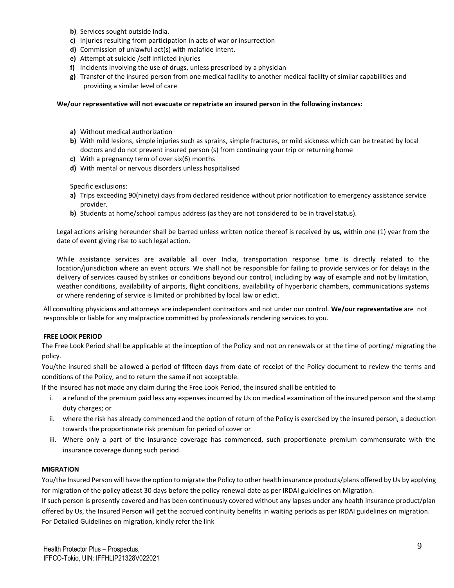- **b)** Services sought outside India.
- **c)** Injuries resulting from participation in acts of war or insurrection
- **d)** Commission of unlawful act(s) with malafide intent.
- **e)** Attempt at suicide /self inflicted injuries
- **f)** Incidents involving the use of drugs, unless prescribed by a physician
- **g)** Transfer of the insured person from one medical facility to another medical facility of similar capabilities and providing a similar level of care

#### **We/our representative will not evacuate or repatriate an insured person in the following instances:**

- **a)** Without medical authorization
- **b)** With mild lesions, simple injuries such as sprains, simple fractures, or mild sickness which can be treated by local doctors and do not prevent insured person (s) from continuing your trip or returning home
- **c)** With a pregnancy term of over six(6) months
- **d)** With mental or nervous disorders unless hospitalised

Specific exclusions:

- **a)** Trips exceeding 90(ninety) days from declared residence without prior notification to emergency assistance service provider.
- **b)** Students at home/school campus address (as they are not considered to be in travel status).

Legal actions arising hereunder shall be barred unless written notice thereof is received by **us,** within one (1) year from the date of event giving rise to such legal action.

While assistance services are available all over India, transportation response time is directly related to the location/jurisdiction where an event occurs. We shall not be responsible for failing to provide services or for delays in the delivery of services caused by strikes or conditions beyond our control, including by way of example and not by limitation, weather conditions, availability of airports, flight conditions, availability of hyperbaric chambers, communications systems or where rendering of service is limited or prohibited by local law or edict.

All consulting physicians and attorneys are independent contractors and not under our control. **We/our representative** are not responsible or liable for any malpractice committed by professionals rendering services to you.

#### **FREE LOOK PERIOD**

The Free Look Period shall be applicable at the inception of the Policy and not on renewals or at the time of porting/ migrating the policy.

You/the insured shall be allowed a period of fifteen days from date of receipt of the Policy document to review the terms and conditions of the Policy, and to return the same if not acceptable.

If the insured has not made any claim during the Free Look Period, the insured shall be entitled to

- i. a refund of the premium paid less any expenses incurred by Us on medical examination of the insured person and the stamp duty charges; or
- ii. where the risk has already commenced and the option of return of the Policy is exercised by the insured person, a deduction towards the proportionate risk premium for period of cover or
- iii. Where only a part of the insurance coverage has commenced, such proportionate premium commensurate with the insurance coverage during such period.

### **MIGRATION**

You/the Insured Person will have the option to migrate the Policy to other health insurance products/plans offered by Us by applying for migration of the policy atleast 30 days before the policy renewal date as per IRDAI guidelines on Migration.

If such person is presently covered and has been continuously covered without any lapses under any health insurance product/plan offered by Us, the Insured Person will get the accrued continuity benefits in waiting periods as per IRDAI guidelines on migration. For Detailed Guidelines on migration, kindly refer the link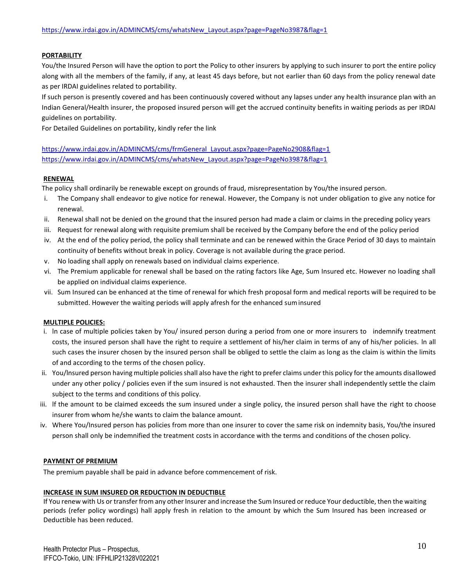## **PORTABILITY**

You/the Insured Person will have the option to port the Policy to other insurers by applying to such insurer to port the entire policy along with all the members of the family, if any, at least 45 days before, but not earlier than 60 days from the policy renewal date as per IRDAI guidelines related to portability.

If such person is presently covered and has been continuously covered without any lapses under any health insurance plan with an Indian General/Health insurer, the proposed insured person will get the accrued continuity benefits in waiting periods as per IRDAI guidelines on portability.

For Detailed Guidelines on portability, kindly refer the link

[https://www.irdai.gov.in/ADMINCMS/cms/frmGeneral\\_Layout.aspx?page=PageNo2908&flag=1](https://www.irdai.gov.in/ADMINCMS/cms/frmGeneral_Layout.aspx?page=PageNo2908&flag=1) [https://www.irdai.gov.in/ADMINCMS/cms/whatsNew\\_Layout.aspx?page=PageNo3987&flag=1](https://www.irdai.gov.in/ADMINCMS/cms/whatsNew_Layout.aspx?page=PageNo3987&flag=1)

### **RENEWAL**

The policy shall ordinarily be renewable except on grounds of fraud, misrepresentation by You/the insured person.

- i. The Company shall endeavor to give notice for renewal. However, the Company is not under obligation to give any notice for renewal.
- ii. Renewal shall not be denied on the ground that the insured person had made a claim or claims in the preceding policy years
- iii. Request for renewal along with requisite premium shall be received by the Company before the end of the policy period
- iv. At the end of the policy period, the policy shall terminate and can be renewed within the Grace Period of 30 days to maintain continuity of benefits without break in policy. Coverage is not available during the grace period.
- v. No loading shall apply on renewals based on individual claims experience.
- vi. The Premium applicable for renewal shall be based on the rating factors like Age, Sum Insured etc. However no loading shall be applied on individual claims experience.
- vii. Sum Insured can be enhanced at the time of renewal for which fresh proposal form and medical reports will be required to be submitted. However the waiting periods will apply afresh for the enhanced suminsured

### **MULTIPLE POLICIES:**

- i. ln case of multiple policies taken by You/ insured person during a period from one or more insurers to indemnify treatment costs, the insured person shall have the right to require a settlement of his/her claim in terms of any of his/her policies. ln all such cases the insurer chosen by the insured person shall be obliged to settle the claim as long as the claim is within the limits of and according to the terms of the chosen policy.
- ii. You/lnsured person having multiple policies shall also have the right to prefer claims under this policy for the amounts disallowed under any other policy / policies even if the sum insured is not exhausted. Then the insurer shall independently settle the claim subject to the terms and conditions of this policy.
- iii. lf the amount to be claimed exceeds the sum insured under a single policy, the insured person shall have the right to choose insurer from whom he/she wants to claim the balance amount.
- iv. Where You/Insured person has policies from more than one insurer to cover the same risk on indemnity basis, You/the insured person shall only be indemnified the treatment costs in accordance with the terms and conditions of the chosen policy.

### **PAYMENT OF PREMIUM**

The premium payable shall be paid in advance before commencement of risk.

### **INCREASE IN SUM INSURED OR REDUCTION IN DEDUCTIBLE**

If You renew with Us or transfer from any other Insurer and increase the Sum Insured or reduce Your deductible, then the waiting periods (refer policy wordings) hall apply fresh in relation to the amount by which the Sum Insured has been increased or Deductible has been reduced.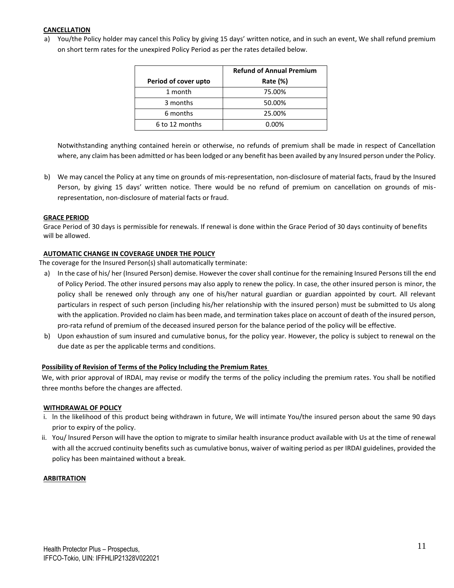## **CANCELLATION**

a) You/the Policy holder may cancel this Policy by giving 15 days' written notice, and in such an event, We shall refund premium on short term rates for the unexpired Policy Period as per the rates detailed below.

|                      | <b>Refund of Annual Premium</b> |
|----------------------|---------------------------------|
| Period of cover upto | Rate (%)                        |
| 1 month              | 75.00%                          |
| 3 months             | 50.00%                          |
| 6 months             | 25.00%                          |
| 6 to 12 months       | 0.00%                           |

Notwithstanding anything contained herein or otherwise, no refunds of premium shall be made in respect of Cancellation where, any claim has been admitted or has been lodged or any benefit has been availed by any Insured person under the Policy.

b) We may cancel the Policy at any time on grounds of mis-representation, non-disclosure of material facts, fraud by the Insured Person, by giving 15 days' written notice. There would be no refund of premium on cancellation on grounds of misrepresentation, non-disclosure of material facts or fraud.

### **GRACE PERIOD**

Grace Period of 30 days is permissible for renewals. If renewal is done within the Grace Period of 30 days continuity of benefits will be allowed.

#### **AUTOMATIC CHANGE IN COVERAGE UNDER THE POLICY**

The coverage for the Insured Person(s) shall automatically terminate:

- a) In the case of his/ her (Insured Person) demise. However the cover shall continue for the remaining Insured Persons till the end of Policy Period. The other insured persons may also apply to renew the policy. In case, the other insured person is minor, the policy shall be renewed only through any one of his/her natural guardian or guardian appointed by court. All relevant particulars in respect of such person (including his/her relationship with the insured person) must be submitted to Us along with the application. Provided no claim has been made, and termination takes place on account of death of the insured person, pro-rata refund of premium of the deceased insured person for the balance period of the policy will be effective.
- b) Upon exhaustion of sum insured and cumulative bonus, for the policy year. However, the policy is subject to renewal on the due date as per the applicable terms and conditions.

#### **Possibility of Revision of Terms of the Policy Including the Premium Rates**

We, with prior approval of IRDAI, may revise or modify the terms of the policy including the premium rates. You shall be notified three months before the changes are affected.

#### **WITHDRAWAL OF POLICY**

- i. ln the likelihood of this product being withdrawn in future, We will intimate You/the insured person about the same 90 days prior to expiry of the policy.
- ii. You/ lnsured Person will have the option to migrate to similar health insurance product available with Us at the time of renewal with all the accrued continuity benefits such as cumulative bonus, waiver of waiting period as per IRDAI guidelines, provided the policy has been maintained without a break.

#### **ARBITRATION**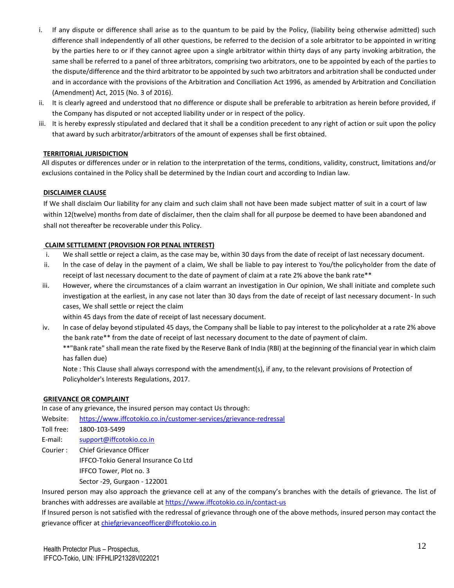- i. If any dispute or difference shall arise as to the quantum to be paid by the Policy, (liability being otherwise admitted) such difference shall independently of all other questions, be referred to the decision of a sole arbitrator to be appointed in writing by the parties here to or if they cannot agree upon a single arbitrator within thirty days of any party invoking arbitration, the same shall be referred to a panel of three arbitrators, comprising two arbitrators, one to be appointed by each of the parties to the dispute/difference and the third arbitrator to be appointed by such two arbitrators and arbitration shall be conducted under and in accordance with the provisions of the Arbitration and Conciliation Act 1996, as amended by Arbitration and Conciliation (Amendment) Act, 2015 (No. 3 of 2016).
- ii. It is clearly agreed and understood that no difference or dispute shall be preferable to arbitration as herein before provided, if the Company has disputed or not accepted liability under or in respect of the policy.
- iii. It is hereby expressly stipulated and declared that it shall be a condition precedent to any right of action or suit upon the policy that award by such arbitrator/arbitrators of the amount of expenses shall be first obtained.

## **TERRITORIAL JURISDICTION**

All disputes or differences under or in relation to the interpretation of the terms, conditions, validity, construct, limitations and/or exclusions contained in the Policy shall be determined by the Indian court and according to Indian law.

### **DISCLAIMER CLAUSE**

If We shall disclaim Our liability for any claim and such claim shall not have been made subject matter of suit in a court of law within 12(twelve) months from date of disclaimer, then the claim shall for all purpose be deemed to have been abandoned and shall not thereafter be recoverable under this Policy.

## **CLAIM SETTLEMENT (PROVISION FOR PENAL INTEREST)**

- i. We shall settle or reject a claim, as the case may be, within 30 days from the date of receipt of last necessary document.
- ii. ln the case of delay in the payment of a claim, We shall be liable to pay interest to You/the policyholder from the date of receipt of last necessary document to the date of payment of claim at a rate 2% above the bank rate\*\*
- iii. However, where the circumstances of a claim warrant an investigation in Our opinion, We shall initiate and complete such investigation at the earliest, in any case not later than 30 days from the date of receipt of last necessary document- ln such cases, We shall settle or reject the claim

within 45 days from the date of receipt of last necessary document.

iv. ln case of delay beyond stipulated 45 days, the Company shall be liable to pay interest to the policyholder at a rate 2% above the bank rate\*\* from the date of receipt of last necessary document to the date of payment of claim.

\*\*"Bank rate" shall mean the rate fixed by the Reserve Bank of India (RBl) at the beginning of the financial year in which claim has fallen due)

Note : This Clause shall always correspond with the amendment(s), if any, to the relevant provisions of Protection of Policyholder's lnterests Regulations, 2017.

### **GRIEVANCE OR COMPLAINT**

In case of any grievance, the insured person may contact Us through:

Website: <https://www.iffcotokio.co.in/customer-services/grievance-redressal>

- Toll free: 1800-103-5499
- E-mail: [support@iffcotokio.co.in](mailto:support@iffcotokio.co.in)
- Courier : Chief Grievance Officer

IFFCO-Tokio General Insurance Co Ltd

IFFCO Tower, Plot no. 3

Sector -29, Gurgaon - 122001

Insured person may also approach the grievance cell at any of the company's branches with the details of grievance. The list of branches with addresses are available at <https://www.iffcotokio.co.in/contact-us>

If Insured person is not satisfied with the redressal of grievance through one of the above methods, insured person may contact the grievance officer at [chiefgrievanceofficer@iffcotokio.co.in](mailto:chiefgrievanceofficer@iffcotokio.co.in)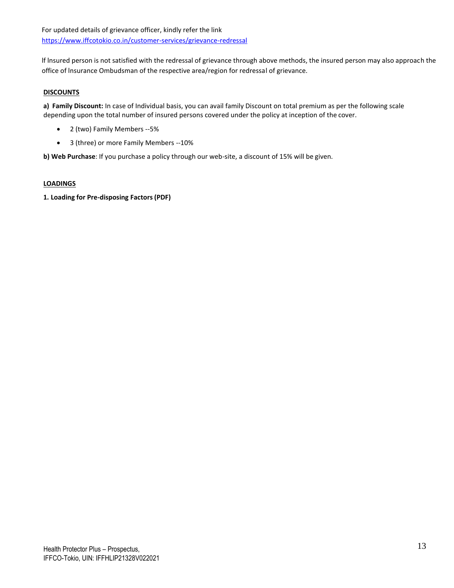lf lnsured person is not satisfied with the redressal of grievance through above methods, the insured person may also approach the office of lnsurance Ombudsman of the respective area/region for redressal of grievance.

## **DISCOUNTS**

**a) Family Discount:** In case of Individual basis, you can avail family Discount on total premium as per the following scale depending upon the total number of insured persons covered under the policy at inception of the cover.

- 2 (two) Family Members --5%
- 3 (three) or more Family Members --10%

**b) Web Purchase**: If you purchase a policy through our web-site, a discount of 15% will be given.

## **LOADINGS**

**1. Loading for Pre-disposing Factors (PDF)**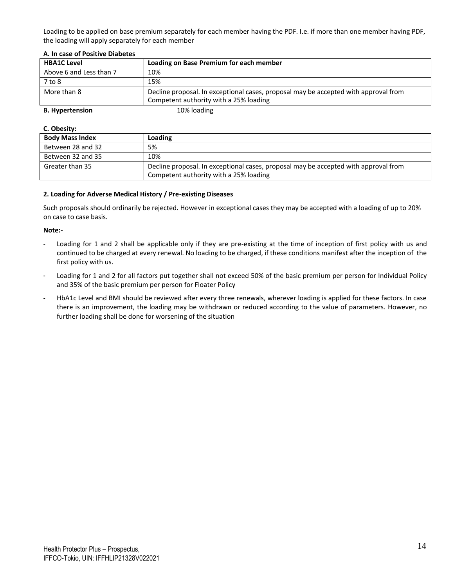Loading to be applied on base premium separately for each member having the PDF. I.e. if more than one member having PDF, the loading will apply separately for each member

| AT 111 GUJC OF FOJITIVE DIUDELEJ |                                                                                     |
|----------------------------------|-------------------------------------------------------------------------------------|
| <b>HBA1C Level</b>               | Loading on Base Premium for each member                                             |
| Above 6 and Less than 7          | 10%                                                                                 |
| $7$ to $8$                       | 15%                                                                                 |
| More than 8                      | Decline proposal. In exceptional cases, proposal may be accepted with approval from |
|                                  | Competent authority with a 25% loading                                              |
| <b>B.</b> Hypertension           | 10% loading                                                                         |

## **A. In case of Positive Diabetes**

#### **C. Obesity:**

| <b>Body Mass Index</b> | Loading                                                                                                                       |
|------------------------|-------------------------------------------------------------------------------------------------------------------------------|
| Between 28 and 32      | 5%                                                                                                                            |
| Between 32 and 35      | 10%                                                                                                                           |
| Greater than 35        | Decline proposal. In exceptional cases, proposal may be accepted with approval from<br>Competent authority with a 25% loading |

### **2. Loading for Adverse Medical History / Pre-existing Diseases**

Such proposals should ordinarily be rejected. However in exceptional cases they may be accepted with a loading of up to 20% on case to case basis.

### **Note:-**

- Loading for 1 and 2 shall be applicable only if they are pre-existing at the time of inception of first policy with us and continued to be charged at every renewal. No loading to be charged, if these conditions manifest after the inception of the first policy with us.
- Loading for 1 and 2 for all factors put together shall not exceed 50% of the basic premium per person for Individual Policy and 35% of the basic premium per person for Floater Policy
- HbA1c Level and BMI should be reviewed after every three renewals, wherever loading is applied for these factors. In case there is an improvement, the loading may be withdrawn or reduced according to the value of parameters. However, no further loading shall be done for worsening of the situation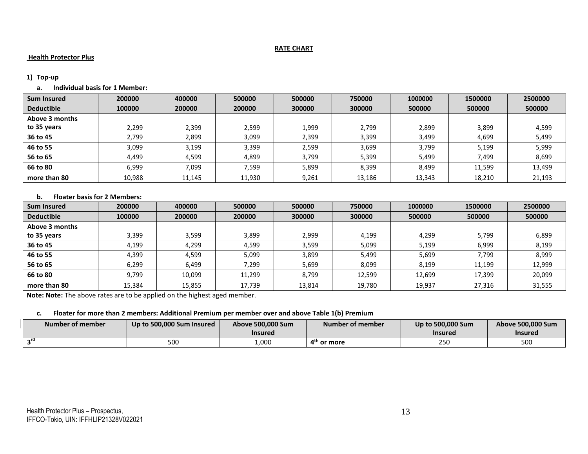## **RATE CHART**

## **Health Protector Plus**

### **1) Top-up**

# **a. Individual basis for 1 Member:**

| <b>Sum Insured</b> | 200000 | 400000 | 500000 | 500000 | 750000 | 1000000 | 1500000 | 2500000 |
|--------------------|--------|--------|--------|--------|--------|---------|---------|---------|
| <b>Deductible</b>  | 100000 | 200000 | 200000 | 300000 | 300000 | 500000  | 500000  | 500000  |
| Above 3 months     |        |        |        |        |        |         |         |         |
| to 35 years        | 2,299  | 2.399  | 2,599  | 1,999  | 2,799  | 2.899   | 3,899   | 4,599   |
| 36 to 45           | 2,799  | 2,899  | 3,099  | 2,399  | 3,399  | 3,499   | 4,699   | 5,499   |
| 46 to 55           | 3,099  | 3,199  | 3,399  | 2,599  | 3,699  | 3,799   | 5,199   | 5,999   |
| 56 to 65           | 4,499  | 4,599  | 4,899  | 3,799  | 5,399  | 5,499   | 7,499   | 8,699   |
| 66 to 80           | 6,999  | 7,099  | 7,599  | 5,899  | 8,399  | 8,499   | 11,599  | 13,499  |
| more than 80       | 10.988 | 11.145 | 11.930 | 9,261  | 13.186 | 13,343  | 18.210  | 21,193  |

## **b. Floater basis for 2 Members:**

| <b>Sum Insured</b> | 200000 | 400000 | 500000 | 500000 | 750000 | 1000000 | 1500000 | 2500000 |
|--------------------|--------|--------|--------|--------|--------|---------|---------|---------|
| <b>Deductible</b>  | 100000 | 200000 | 200000 | 300000 | 300000 | 500000  | 500000  | 500000  |
| Above 3 months     |        |        |        |        |        |         |         |         |
| to 35 years        | 3,399  | 3,599  | 3,899  | 2,999  | 4,199  | 4,299   | 5,799   | 6,899   |
| 36 to 45           | 4,199  | 4,299  | 4,599  | 3,599  | 5,099  | 5,199   | 6,999   | 8,199   |
| 46 to 55           | 4,399  | 4,599  | 5.099  | 3,899  | 5,499  | 5,699   | 7,799   | 8,999   |
| 56 to 65           | 6,299  | 6,499  | ,299   | 5,699  | 8,099  | 8,199   | 11,199  | 12,999  |
| 66 to 80           | 9,799  | 10.099 | 11.299 | 8,799  | 12.599 | 12.699  | 17.399  | 20,099  |
| more than 80       | 15,384 | 15,855 | 17,739 | 13,814 | 19,780 | 19,937  | 27.316  | 31,555  |

**Note: Note:** The above rates are to be applied on the highest aged member.

## **c. Floater for more than 2 members: Additional Premium per member over and above Table 1(b) Premium**

| Number of member | Up to 500,000 Sum Insured | Above 500,000 Sum<br>Insured | Number of member       | Up to 500,000 Sum<br>Insurec | Above 500,000 Sum<br><b>Insured</b> |
|------------------|---------------------------|------------------------------|------------------------|------------------------------|-------------------------------------|
| $\sim$ го        | 500                       | .,000                        | $4^{\text{m}}$ or more | 250                          | 500                                 |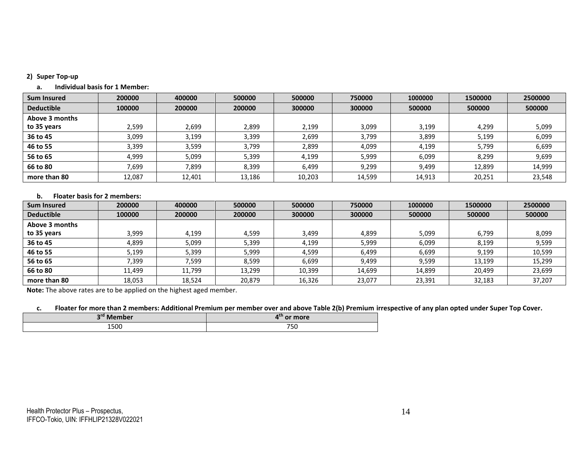### **2) Super Top-up**

#### **a. Individual basis for 1 Member:**

| <b>Sum Insured</b> | 200000 | 400000 | 500000 | 500000 | 750000 | 1000000 | 1500000 | 2500000 |
|--------------------|--------|--------|--------|--------|--------|---------|---------|---------|
| <b>Deductible</b>  | 100000 | 200000 | 200000 | 300000 | 300000 | 500000  | 500000  | 500000  |
| Above 3 months     |        |        |        |        |        |         |         |         |
| to 35 years        | 2.599  | 2.699  | 2.899  | 2.199  | 3.099  | 3.199   | 4,299   | 5,099   |
| 36 to 45           | 3,099  | 3,199  | 3,399  | 2,699  | 3,799  | 3,899   | 5,199   | 6,099   |
| 46 to 55           | 3,399  | 3.599  | 3,799  | 2,899  | 4,099  | 4,199   | 5,799   | 6,699   |
| 56 to 65           | 4,999  | 5,099  | 5,399  | 4,199  | 5,999  | 6,099   | 8,299   | 9,699   |
| 66 to 80           | 7,699  | 7.899  | 8,399  | 6,499  | 9,299  | 9,499   | 12,899  | 14,999  |
| more than 80       | 12,087 | 12,401 | 13,186 | 10,203 | 14,599 | 14,913  | 20,251  | 23,548  |

## **b. Floater basis for 2 members:**

| <b>Sum Insured</b> | 200000 | 400000 | 500000 | 500000 | 750000 | 1000000 | 1500000 | 2500000 |
|--------------------|--------|--------|--------|--------|--------|---------|---------|---------|
| <b>Deductible</b>  | 100000 | 200000 | 200000 | 300000 | 300000 | 500000  | 500000  | 500000  |
| Above 3 months     |        |        |        |        |        |         |         |         |
| to 35 years        | 3,999  | 4.199  | 4,599  | 3,499  | 4,899  | 5,099   | 6,799   | 8,099   |
| 36 to 45           | 4.899  | 5,099  | 5,399  | 4.199  | 5,999  | 6,099   | 8,199   | 9,599   |
| 46 to 55           | 5,199  | 5,399  | 5.999  | 4.599  | 6,499  | 6.699   | 9.199   | 10,599  |
| 56 to 65           | 399,'  | 599.'  | 8,599  | 6,699  | 9,499  | 9,599   | 13.199  | 15,299  |
| 66 to 80           | 11.499 | 11,799 | 13,299 | 10,399 | 14,699 | 14,899  | 20,499  | 23,699  |
| more than 80       | 18,053 | 18,524 | 20,879 | 16,326 | 23,077 | 23,391  | 32,183  | 37,207  |

**Note:** The above rates are to be applied on the highest aged member.

c. Floater for more than 2 members: Additional Premium per member over and above Table 2(b) Premium irrespective of any plan opted under Super Top Cover.

| nrd  | $\Lambda^{\text{th}}$ |  |  |
|------|-----------------------|--|--|
| M    | or more               |  |  |
| 1500 | 700<br>750            |  |  |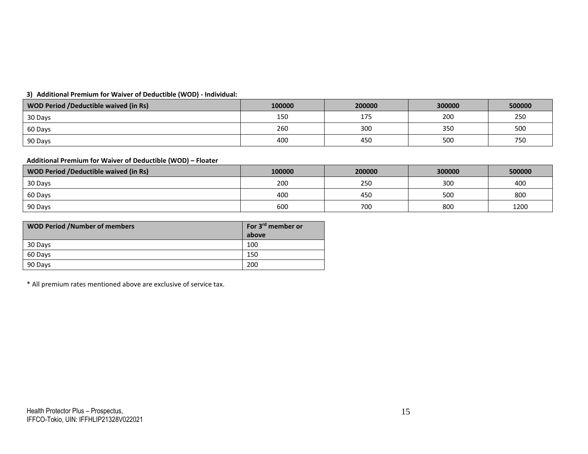## **3) Additional Premium for Waiver of Deductible (WOD) - Individual:**

| <b>WOD Period /Deductible waived (in Rs)</b> | 100000 | 200000 | 300000 | 500000 |
|----------------------------------------------|--------|--------|--------|--------|
| 30 Days                                      | 150    | 175    | 200    | 250    |
| 60 Days                                      | 260    | 300    | 350    | 500    |
| 90 Days                                      | 400    | 450    | 500    | 750    |

# **Additional Premium for Waiver of Deductible (WOD) – Floater**

| <b>WOD Period /Deductible waived (in Rs)</b> | 100000 | 200000 | 300000 | 500000 |
|----------------------------------------------|--------|--------|--------|--------|
| 30 Days                                      | 200    | 250    | 300    | 400    |
| 60 Days                                      | 400    | 450    | 500    | 800    |
| 90 Days                                      | 600    | 700    | 800    | 1200   |

| <b>WOD Period /Number of members</b> | For 3 <sup>rd</sup> member or<br>above |
|--------------------------------------|----------------------------------------|
| 30 Days                              | 100                                    |
| 60 Days                              | 150                                    |
| 90 Days                              | 200                                    |

\* All premium rates mentioned above are exclusive of service tax.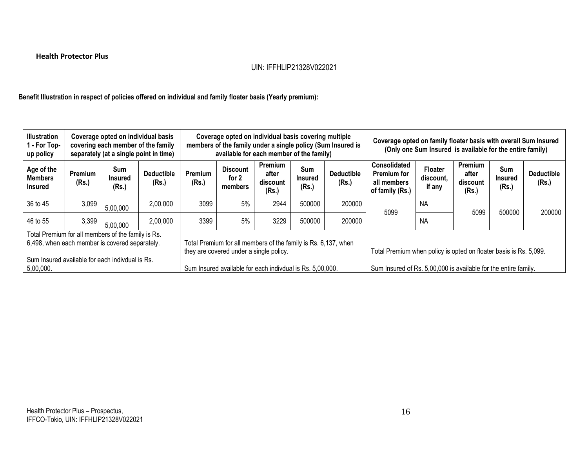# **Health Protector Plus**

# UIN: IFFHLIP21328V022021

**Benefit Illustration in respect of policies offered on individual and family floater basis (Yearly premium):**

| <b>Illustration</b><br>1 - For Top-<br>up policy                                                                                                        | Coverage opted on individual basis<br>covering each member of the family<br>separately (at a single point in time) |                                |                            |                                                           | Coverage opted on individual basis covering multiple<br>available for each member of the family)          |                                       |                         | members of the family under a single policy (Sum Insured is | Coverage opted on family floater basis with overall Sum Insured<br>(Only one Sum Insured is available for the entire family) |                                       |                                       |                                       |                            |
|---------------------------------------------------------------------------------------------------------------------------------------------------------|--------------------------------------------------------------------------------------------------------------------|--------------------------------|----------------------------|-----------------------------------------------------------|-----------------------------------------------------------------------------------------------------------|---------------------------------------|-------------------------|-------------------------------------------------------------|------------------------------------------------------------------------------------------------------------------------------|---------------------------------------|---------------------------------------|---------------------------------------|----------------------------|
| Age of the<br><b>Members</b><br>Insured                                                                                                                 | Premium<br>(Rs.)                                                                                                   | Sum<br><b>Insured</b><br>(Rs.) | <b>Deductible</b><br>(Rs.) | <b>Premium</b><br>(Rs.)                                   | <b>Discount</b><br>for 2<br>members                                                                       | Premium<br>after<br>discount<br>(Rs.) | Sum<br>Insured<br>(Rs.) | <b>Deductible</b><br>(Rs.)                                  | <b>Consolidated</b><br><b>Premium for</b><br>all members<br>of family (Rs.)                                                  | <b>Floater</b><br>discount.<br>if any | Premium<br>after<br>discount<br>(Rs.) | <b>Sum</b><br><b>Insured</b><br>(Rs.) | <b>Deductible</b><br>(Rs.) |
| 36 to 45                                                                                                                                                | 3,099                                                                                                              | 5,00,000                       | 2,00,000                   | 3099                                                      | 5%                                                                                                        | 2944                                  | 500000                  | 200000                                                      | 5099                                                                                                                         | <b>NA</b><br><b>NA</b>                | 5099                                  | 500000                                | 200000                     |
| 46 to 55                                                                                                                                                | 3,399                                                                                                              | 5,00,000                       | 2,00,000                   | 3399                                                      | 5%                                                                                                        | 3229                                  | 500000                  | 200000                                                      |                                                                                                                              |                                       |                                       |                                       |                            |
| Total Premium for all members of the family is Rs.<br>6,498, when each member is covered separately.<br>Sum Insured available for each indivdual is Rs. |                                                                                                                    |                                |                            |                                                           | Total Premium for all members of the family is Rs. 6,137, when<br>they are covered under a single policy. |                                       |                         |                                                             | Total Premium when policy is opted on floater basis is Rs. 5,099.                                                            |                                       |                                       |                                       |                            |
| 5,00,000.                                                                                                                                               |                                                                                                                    |                                |                            | Sum Insured available for each indivdual is Rs. 5,00,000. |                                                                                                           |                                       |                         |                                                             | Sum Insured of Rs. 5,00,000 is available for the entire family.                                                              |                                       |                                       |                                       |                            |